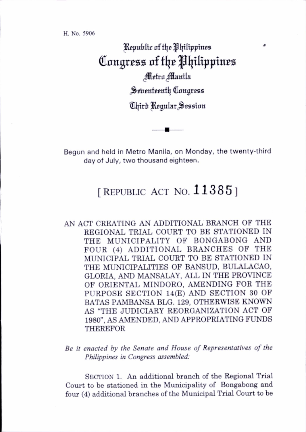H. No. 5906

Republic of the Philippines Congress nf t[\t pijiltpptnes Metro Manila Seirenteenth Congress Third Regular Session

Begun and held in Metro Manila, on Monday, the twenty-third day of July, two thousand eighteen.

## [REPUBLIC ACT NO.  $11385$ ]

AN ACT CREATING AN ADDITIONAL BRANCH OF THE REGIONAL TRIAL COURT TO BE STATIONED IN THE MUNICIPALITY OF BONGABONG AND FOUR (4) ADDITIONAL BRANCHES OF THE MUNICIPAL TRIAL COURT TO BE STATIONED IN THE MUNICIPALITIES OF BANSUD, BULALACAO, GLORIA, AND MANSALAY, ALL IN THE PROVINCE OF ORIENTAL MINDORO, AMENDING FOR THE PURPOSE SECTION 14(E) AND SECTION 30 OF BATAS PAMBANSA BLG. 129, OTHERWISE KNOWN AS "THE JUDICIARY REORGANIZATION ACT OF 1980", AS AMENDED, AND APPROPRIATING FUNDS THEREFOR

Be it enacted by the Senate and House of Representatives of the Philippines in Congress assembled:

SECTION 1. An additional branch of the Regional Trial Court to be stationed in the Municipality of Bongabong and four (4) additional branches of the Municipal Trial Court to be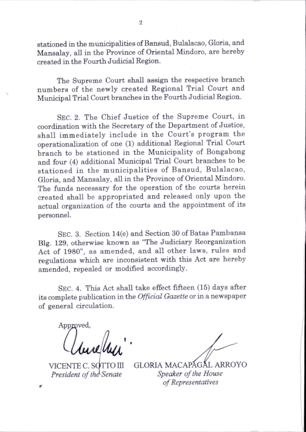stationed in the municipalities of Bansud, Bulalacao, Gloria, and Mansalay, all in the Province of Oriental Mindoro, are hereby created in the Fourth Judicial Region.

The Supreme Court shall assign the respective branch numbers of the newly created Regional Trial Court and Municipal Trial Court branches in the Fourth Judicial Region.

Sec. 2. The Chief Justice of the Supreme Court, in coordination with the Secretary of the Department of Justice, shall immediately include in the Court's program the operationalization of one (1) additional Regional Trial Court branch to be stationed in the Municipality of Bongabong and four (4) additional Municipal Trial Court branches to be stationed in the municipalities of Bansud, Bulalacao. Gloria, and Mansalay, all in the Province of Oriental Mindoro. The funds necessary for the operation of the courts herein created shall be appropriated and released only upon the actual organization of the courts and the appointment of its personnel.

Sec. 3. Section 14(e) and Section 30 of Batas Pambansa Big. 129, otherwise known as "The Judiciary Reorganization Act of 1980", as amended, and all other laws, rules and regulations which are inconsistent with this Act are hereby amended, repealed or modified accordingly.

Sec. 4. This Act shall take effect fifteen (15) days after its complete publication in the Official Gazette or in a newspaper of general circulation.

Approved,

VICENTE C. SOTTO III President of the Senate

GLORIA MACAPAGAL ARROYO Speaker of the House of Representatives